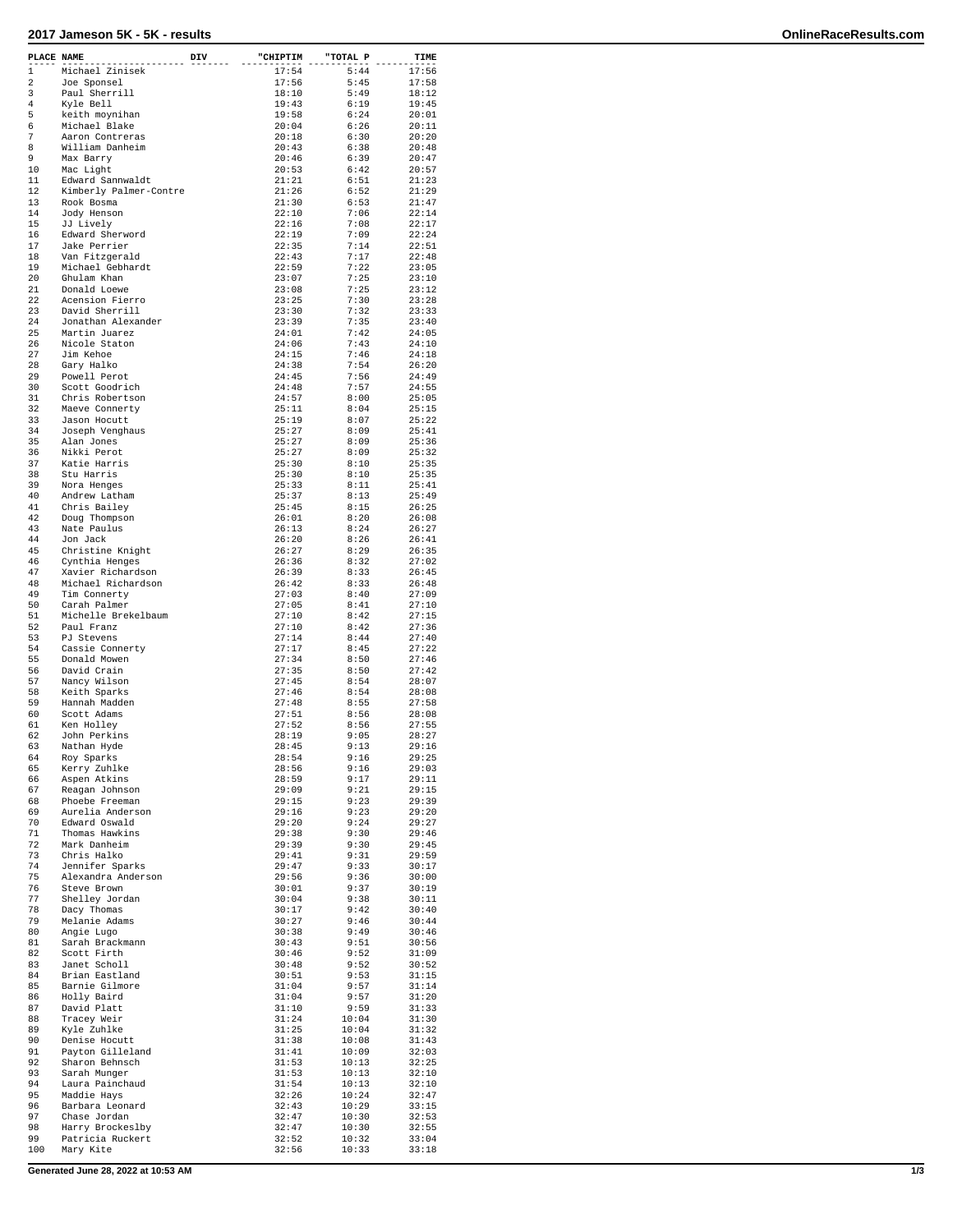## **2017 Jameson 5K - 5K - results OnlineRaceResults.com**

| PLACE NAME |                                      | DIV | "CHIPTIM       | "TOTAL P       | TIME           |
|------------|--------------------------------------|-----|----------------|----------------|----------------|
| 1          | Michael Zinisek                      |     | 17:54          | 5:44           | 17:56          |
| 2          | Joe Sponsel                          |     | 17:56          | 5:45           | 17:58          |
| 3<br>4     | Paul Sherrill<br>Kyle Bell           |     | 18:10<br>19:43 | 5:49<br>6:19   | 18:12<br>19:45 |
| 5          | keith moynihan                       |     | 19:58          | 6:24           | 20:01          |
| 6          | Michael Blake                        |     | 20:04          | 6:26           | 20:11          |
| 7          | Aaron Contreras                      |     | 20:18          | 6:30           | 20:20          |
| 8          | William Danheim                      |     | 20:43          | 6:38           | 20:48          |
| 9<br>10    | Max Barry                            |     | 20:46          | 6:39           | 20:47<br>20:57 |
| 11         | Mac Light<br>Edward Sannwaldt        |     | 20:53<br>21:21 | 6:42<br>6:51   | 21:23          |
| 12         | Kimberly Palmer-Contre               |     | 21:26          | 6:52           | 21:29          |
| 13         | Rook Bosma                           |     | 21:30          | 6:53           | 21:47          |
| 14         | Jody Henson                          |     | 22:10          | 7:06           | 22:14          |
| 15         | JJ Lively                            |     | 22:16          | 7:08<br>7:09   | 22:17          |
| 16<br>17   | Edward Sherword<br>Jake Perrier      |     | 22:19<br>22:35 | 7:14           | 22:24<br>22:51 |
| 18         | Van Fitzgerald                       |     | 22:43          | 7:17           | 22:48          |
| 19         | Michael Gebhardt                     |     | 22:59          | 7:22           | 23:05          |
| 20         | Ghulam Khan                          |     | 23:07          | 7:25           | 23:10          |
| 21         | Donald Loewe                         |     | 23:08          | 7:25           | 23:12          |
| 22<br>23   | Acension Fierro<br>David Sherrill    |     | 23:25<br>23:30 | 7:30<br>7:32   | 23:28<br>23:33 |
| 24         | Jonathan Alexander                   |     | 23:39          | 7:35           | 23:40          |
| 25         | Martin Juarez                        |     | 24:01          | 7:42           | 24:05          |
| 26         | Nicole Staton                        |     | 24:06          | 7:43           | 24:10          |
| 27         | Jim Kehoe                            |     | 24:15          | 7:46           | 24:18          |
| 28<br>29   | Gary Halko<br>Powell Perot           |     | 24:38<br>24:45 | 7:54<br>7:56   | 26:20<br>24:49 |
| 30         | Scott Goodrich                       |     | 24:48          | 7:57           | 24:55          |
| 31         | Chris Robertson                      |     | 24:57          | 8:00           | 25:05          |
| 32         | Maeve Connerty                       |     | 25:11          | 8:04           | 25:15          |
| 33         | Jason Hocutt                         |     | 25:19          | 8:07           | 25:22          |
| 34<br>35   | Joseph Venghaus<br>Alan Jones        |     | 25:27<br>25:27 | 8:09<br>8:09   | 25:41<br>25:36 |
| 36         | Nikki Perot                          |     | 25:27          | 8:09           | 25:32          |
| 37         | Katie Harris                         |     | 25:30          | 8:10           | 25:35          |
| 38         | Stu Harris                           |     | 25:30          | 8:10           | 25:35          |
| 39         | Nora Henges                          |     | 25:33          | 8:11           | 25:41          |
| 40<br>41   | Andrew Latham<br>Chris Bailey        |     | 25:37<br>25:45 | 8:13<br>8:15   | 25:49<br>26:25 |
| 42         | Doug Thompson                        |     | 26:01          | 8:20           | 26:08          |
| 43         | Nate Paulus                          |     | 26:13          | 8:24           | 26:27          |
| 44         | Jon Jack                             |     | 26:20          | 8:26           | 26:41          |
| 45         | Christine Knight                     |     | 26:27          | 8:29           | 26:35          |
| 46<br>47   | Cynthia Henges<br>Xavier Richardson  |     | 26:36<br>26:39 | 8:32<br>8:33   | 27:02<br>26:45 |
| 48         | Michael Richardson                   |     | 26:42          | 8:33           | 26:48          |
| 49         | Tim Connerty                         |     | 27:03          | 8:40           | 27:09          |
| 50         | Carah Palmer                         |     | 27:05          | 8:41           | 27:10          |
| 51<br>52   | Michelle Brekelbaum<br>Paul Franz    |     | 27:10<br>27:10 | 8:42<br>8:42   | 27:15<br>27:36 |
| 53         | PJ Stevens                           |     | 27:14          | 8:44           | 27:40          |
| 54         | Cassie Connerty                      |     | 27:17          | 8:45           | 27:22          |
| 55         | Donald Mowen                         |     | 27:34          | 8:50           | 27:46          |
| 56         | David Crain                          |     | 27:35          | 8:50           | 27:42          |
| 57<br>58   | Nancy Wilson<br>Keith Sparks         |     | 27:45<br>27:46 | 8:54<br>8:54   | 28:07<br>28:08 |
| 59         | Hannah Madden                        |     | 27:48          | 8:55           | 27:58          |
| 60         | Scott Adams                          |     | 27:51          | 8:56           | 28:08          |
| 61         | Ken Holley                           |     | 27:52          | 8:56           | 27:55          |
| 62<br>63   | John Perkins                         |     | 28:19<br>28:45 | 9:05           | 28:27          |
| 64         | Nathan Hyde<br>Roy Sparks            |     | 28:54          | 9:13<br>9:16   | 29:16<br>29:25 |
| 65         | Kerry Zuhlke                         |     | 28:56          | 9:16           | 29:03          |
| 66         | Aspen Atkins                         |     | 28:59          | 9:17           | 29:11          |
| 67         | Reagan Johnson                       |     | 29:09          | 9:21           | 29:15          |
| 68<br>69   | Phoebe Freeman<br>Aurelia Anderson   |     | 29:15          | 9:23<br>9:23   | 29:39          |
| 70         | Edward Oswald                        |     | 29:16<br>29:20 | 9:24           | 29:20<br>29:27 |
| 71         | Thomas Hawkins                       |     | 29:38          | 9:30           | 29:46          |
| 72         | Mark Danheim                         |     | 29:39          | 9:30           | 29:45          |
| 73         | Chris Halko                          |     | 29:41          | 9:31           | 29:59          |
| 74         | Jennifer Sparks                      |     | 29:47          | 9:33<br>9:36   | 30:17          |
| 75<br>76   | Alexandra Anderson<br>Steve Brown    |     | 29:56<br>30:01 | 9:37           | 30:00<br>30:19 |
| 77         | Shelley Jordan                       |     | 30:04          | 9:38           | 30:11          |
| 78         | Dacy Thomas                          |     | 30:17          | 9:42           | 30:40          |
| 79         | Melanie Adams                        |     | 30:27          | 9:46           | 30:44          |
| 80         | Angie Lugo                           |     | 30:38          | 9:49<br>9:51   | 30:46          |
| 81<br>82   | Sarah Brackmann<br>Scott Firth       |     | 30:43<br>30:46 | 9:52           | 30:56<br>31:09 |
| 83         | Janet Scholl                         |     | 30:48          | 9:52           | 30:52          |
| 84         | Brian Eastland                       |     | 30:51          | 9:53           | 31:15          |
| 85         | Barnie Gilmore                       |     | 31:04          | 9:57           | 31:14          |
| 86<br>87   | Holly Baird                          |     | 31:04<br>31:10 | 9:57<br>9:59   | 31:20          |
| 88         | David Platt<br>Tracey Weir           |     | 31:24          | 10:04          | 31:33<br>31:30 |
| 89         | Kyle Zuhlke                          |     | 31:25          | 10:04          | 31:32          |
| 90         | Denise Hocutt                        |     | 31:38          | 10:08          | 31:43          |
| 91         | Payton Gilleland                     |     | 31:41          | 10:09          | 32:03          |
| 92<br>93   | Sharon Behnsch<br>Sarah Munger       |     | 31:53<br>31:53 | 10:13<br>10:13 | 32:25<br>32:10 |
| 94         | Laura Painchaud                      |     | 31:54          | 10:13          | 32:10          |
| 95         | Maddie Hays                          |     | 32:26          | 10:24          | 32:47          |
| 96         | Barbara Leonard                      |     | 32:43          | 10:29          | 33:15          |
| 97         | Chase Jordan                         |     | 32:47          | 10:30          | 32:53          |
| 98<br>99   | Harry Brockeslby<br>Patricia Ruckert |     | 32:47<br>32:52 | 10:30<br>10:32 | 32:55<br>33:04 |
| 100        | Mary Kite                            |     | 32:56          | 10:33          | 33:18          |
|            |                                      |     |                |                |                |

**Generated June 28, 2022 at 10:53 AM 1/3**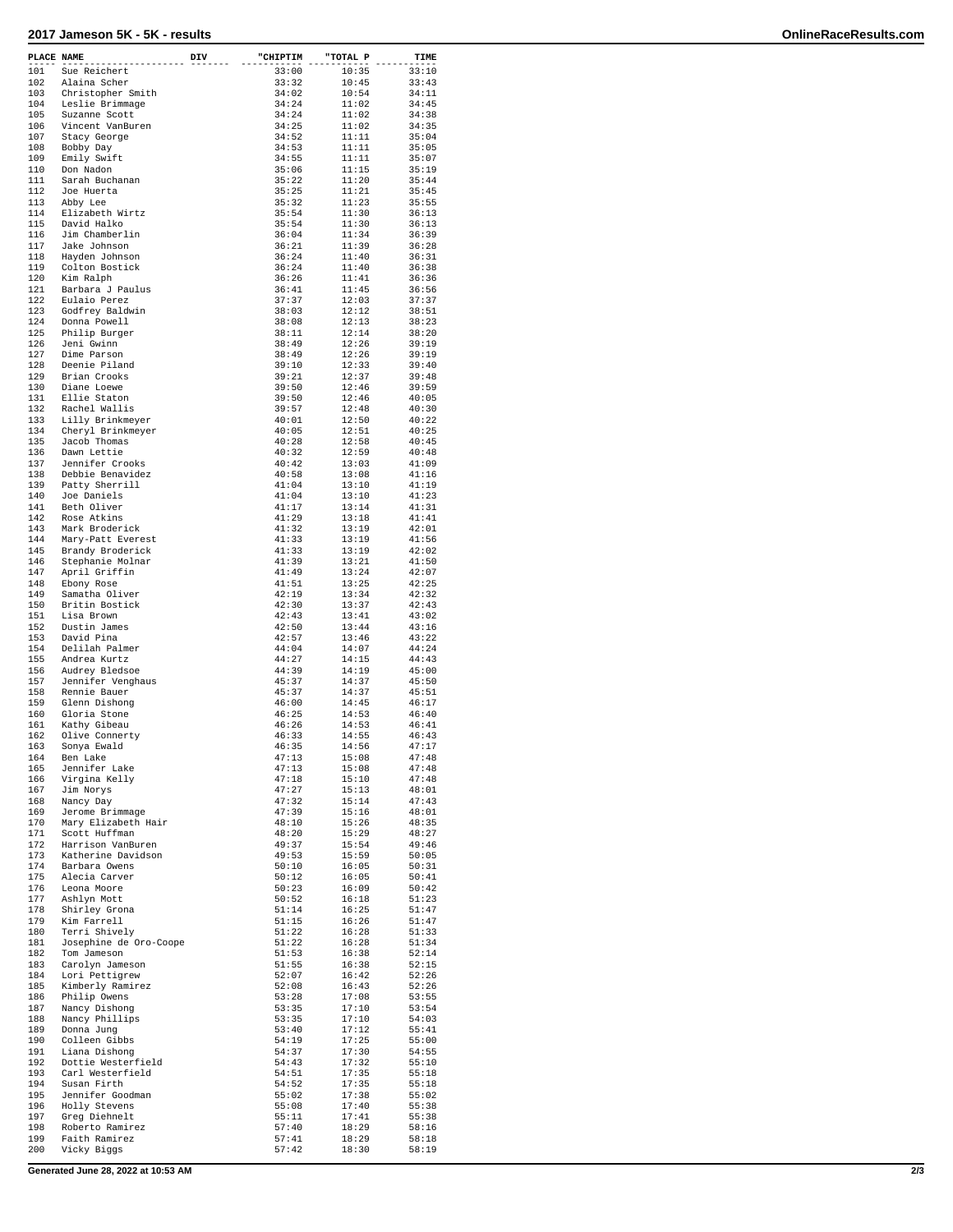## **2017 Jameson 5K - 5K - results OnlineRaceResults.com**

| PLACE NAME |                                  | DIV | "CHIPTIM       | "TOTAL P       | TIME           |
|------------|----------------------------------|-----|----------------|----------------|----------------|
| 101        | Sue Reichert                     |     | 33:00          | 10:35          | 33:10          |
| 102        | Alaina Scher                     |     | 33:32          | 10:45          | 33:43          |
| 103        | Christopher Smith                |     | 34:02          | 10:54          | 34:11          |
| 104        | Leslie Brimmage                  |     | 34:24          | 11:02          | 34:45          |
| 105        | Suzanne Scott                    |     | 34:24          | 11:02          | 34:38          |
| 106        | Vincent VanBuren                 |     | 34:25          | 11:02          | 34:35          |
| 107        | Stacy George                     |     | 34:52          | 11:11          | 35:04          |
| 108        | Bobby Day                        |     | 34:53          | 11:11          | 35:05          |
| 109        | Emily Swift                      |     | 34:55          | 11:11          | 35:07          |
| 110        | Don Nadon                        |     | 35:06          | 11:15          | 35:19          |
| 111<br>112 | Sarah Buchanan                   |     | 35:22          | 11:20          | 35:44          |
| 113        | Joe Huerta                       |     | 35:25<br>35:32 | 11:21<br>11:23 | 35:45<br>35:55 |
| 114        | Abby Lee<br>Elizabeth Wirtz      |     | 35:54          | 11:30          | 36:13          |
| 115        | David Halko                      |     | 35:54          | 11:30          | 36:13          |
| 116        | Jim Chamberlin                   |     | 36:04          | 11:34          | 36:39          |
| 117        | Jake Johnson                     |     | 36:21          | 11:39          | 36:28          |
| 118        | Hayden Johnson                   |     | 36:24          | 11:40          | 36:31          |
| 119        | Colton Bostick                   |     | 36:24          | 11:40          | 36:38          |
| 120        | Kim Ralph                        |     | 36:26          | 11:41          | 36:36          |
| 121        | Barbara J Paulus                 |     | 36:41          | 11:45          | 36:56          |
| 122        | Eulaio Perez                     |     | 37:37          | 12:03          | 37:37          |
| 123        | Godfrey Baldwin                  |     | 38:03          | 12:12          | 38:51          |
| 124        | Donna Powell                     |     | 38:08          | 12:13          | 38:23          |
| 125        | Philip Burger                    |     | 38:11          | 12:14          | 38:20          |
| 126        | Jeni Gwinn                       |     | 38:49          | 12:26          | 39:19          |
| 127        | Dime Parson<br>Deenie Piland     |     | 38:49          | 12:26          | 39:19          |
| 128        |                                  |     | 39:10          | 12:33          | 39:40          |
| 129<br>130 | Brian Crooks<br>Diane Loewe      |     | 39:21<br>39:50 | 12:37<br>12:46 | 39:48          |
| 131        | Ellie Staton                     |     | 39:50          | 12:46          | 39:59<br>40:05 |
| 132        | Rachel Wallis                    |     | 39:57          | 12:48          | 40:30          |
| 133        | Lilly Brinkmeyer                 |     | 40:01          | 12:50          | 40:22          |
| 134        | Cheryl Brinkmeyer                |     | 40:05          | 12:51          | 40:25          |
| 135        | Jacob Thomas                     |     | 40:28          | 12:58          | 40:45          |
| 136        | Dawn Lettie                      |     | 40:32          | 12:59          | 40:48          |
| 137        | Jennifer Crooks                  |     | 40:42          | 13:03          | 41:09          |
| 138        | Debbie Benavidez                 |     | 40:58          | 13:08          | 41:16          |
| 139        | Patty Sherrill                   |     | 41:04          | 13:10          | 41:19          |
| 140        | Joe Daniels                      |     | 41:04          | 13:10          | 41:23          |
| 141        | Beth Oliver                      |     | 41:17          | 13:14          | 41:31          |
| 142        | Rose Atkins                      |     | 41:29          | 13:18          | 41:41          |
| 143        | Mark Broderick                   |     | 41:32          | 13:19          | 42:01          |
| 144        | Mary-Patt Everest                |     | 41:33          | 13:19          | 41:56          |
| 145        | Brandy Broderick                 |     | 41:33          | 13:19          | 42:02          |
| 146        | Stephanie Molnar                 |     | 41:39          | 13:21          | 41:50          |
| 147        | April Griffin                    |     | 41:49          | 13:24          | 42:07          |
| 148<br>149 | Ebony Rose                       |     | 41:51<br>42:19 | 13:25          | 42:25<br>42:32 |
| 150        | Samatha Oliver<br>Britin Bostick |     | 42:30          | 13:34<br>13:37 | 42:43          |
| 151        | Lisa Brown                       |     | 42:43          | 13:41          | 43:02          |
| 152        | Dustin James                     |     | 42:50          | 13:44          | 43:16          |
| 153        | David Pina                       |     | 42:57          | 13:46          | 43:22          |
| 154        | Delilah Palmer                   |     | 44:04          | 14:07          | 44:24          |
| 155        | Andrea Kurtz                     |     | 44:27          | 14:15          | 44:43          |
| 156        | Audrey Bledsoe                   |     | 44:39          | 14:19          | 45:00          |
| 157        | Jennifer Venghaus                |     | 45:37          | 14:37          | 45:50          |
| 158        | Rennie Bauer                     |     | 45:37          | 14:37          | 45:51          |
| 159        | Glenn Dishong                    |     | 46:00          | 14:45          | 46:17          |
| 160        | Gloria Stone                     |     | 46:25          | 14:53          | 46:40          |
| 161        | Kathy Gibeau                     |     | 46:26          | 14:53          | 46:41          |
| 162        | Olive Connerty                   |     | 46:33          | 14:55          | 46:43          |
| 163        | Sonya Ewald                      |     | 46:35          | 14:56          | 47:17          |
| 164        | Ben Lake                         |     | 47:13          | 15:08          | 47:48          |
| 165<br>166 | Jennifer Lake<br>Virgina Kelly   |     | 47:13<br>47:18 | 15:08<br>15:10 | 47:48<br>47:48 |
| 167        | Jim Norys                        |     | 47:27          | 15:13          | 48:01          |
| 168        | Nancy Day                        |     | 47:32          | 15:14          | 47:43          |
| 169        | Jerome Brimmage                  |     | 47:39          | 15:16          | 48:01          |
| 170        | Mary Elizabeth Hair              |     | 48:10          | 15:26          | 48:35          |
| 171        | Scott Huffman                    |     | 48:20          | 15:29          | 48:27          |
| 172        | Harrison VanBuren                |     | 49:37          | 15:54          | 49:46          |
| 173        | Katherine Davidson               |     | 49:53          | 15:59          | 50:05          |
| 174        | Barbara Owens                    |     | 50:10          | 16:05          | 50:31          |
| 175        | Alecia Carver                    |     | 50:12          | 16:05          | 50:41          |
| 176        | Leona Moore                      |     | 50:23          | 16:09          | 50:42          |
| 177        | Ashlyn Mott                      |     | 50:52          | 16:18          | 51:23          |
| 178<br>179 | Shirley Grona                    |     | 51:14<br>51:15 | 16:25          | 51:47<br>51:47 |
| 180        | Kim Farrell<br>Terri Shively     |     | 51:22          | 16:26<br>16:28 | 51:33          |
| 181        | Josephine de Oro-Coope           |     | 51:22          | 16:28          | 51:34          |
| 182        | Tom Jameson                      |     | 51:53          | 16:38          | 52:14          |
| 183        | Carolyn Jameson                  |     | 51:55          | 16:38          | 52:15          |
| 184        | Lori Pettigrew                   |     | 52:07          | 16:42          | 52:26          |
| 185        | Kimberly Ramirez                 |     | 52:08          | 16:43          | 52:26          |
| 186        | Philip Owens                     |     | 53:28          | 17:08          | 53:55          |
| 187        | Nancy Dishong                    |     | 53:35          | 17:10          | 53:54          |
| 188        | Nancy Phillips                   |     | 53:35          | 17:10          | 54:03          |
| 189        | Donna Jung                       |     | 53:40          | 17:12          | 55:41          |
| 190        | Colleen Gibbs                    |     | 54:19          | 17:25          | 55:00          |
| 191        | Liana Dishong                    |     | 54:37          | 17:30          | 54:55          |
| 192        | Dottie Westerfield               |     | 54:43          | 17:32          | 55:10          |
| 193        | Carl Westerfield                 |     | 54:51          | 17:35          | 55:18          |
| 194        | Susan Firth                      |     | 54:52          | 17:35          | 55:18          |
| 195<br>196 | Jennifer Goodman                 |     | 55:02          | 17:38          | 55:02<br>55:38 |
| 197        | Holly Stevens<br>Greg Diehnelt   |     | 55:08<br>55:11 | 17:40<br>17:41 | 55:38          |
| 198        | Roberto Ramirez                  |     | 57:40          | 18:29          | 58:16          |
| 199        | Faith Ramirez                    |     | 57:41          | 18:29          | 58:18          |
| 200        | Vicky Biggs                      |     | 57:42          | 18:30          | 58:19          |
|            |                                  |     |                |                |                |

**Generated June 28, 2022 at 10:53 AM 2/3**